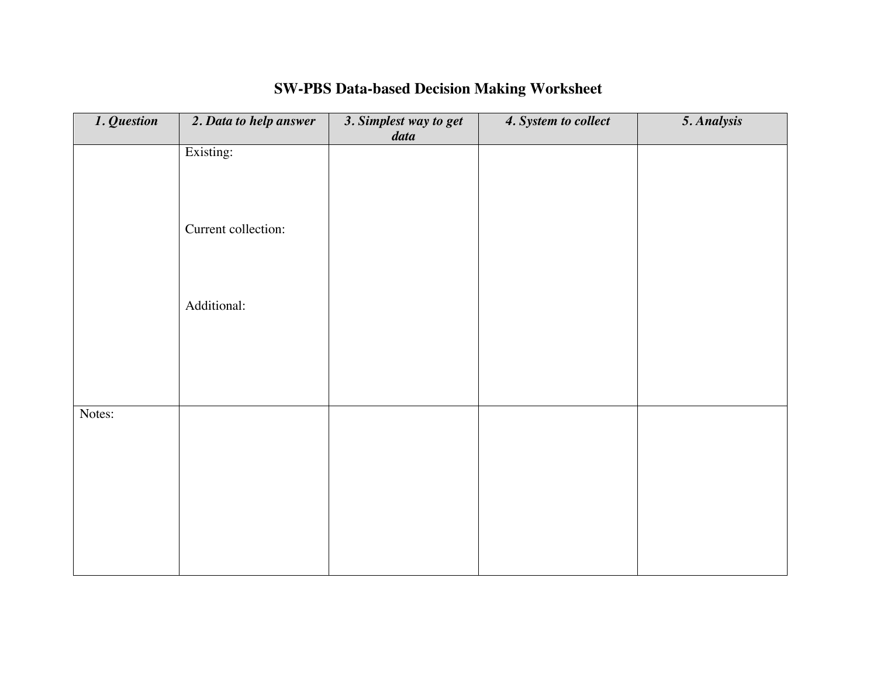| 1. Question | 2. Data to help answer | 3. Simplest way to get<br>data | 4. System to collect | 5. Analysis |
|-------------|------------------------|--------------------------------|----------------------|-------------|
|             | Existing:              |                                |                      |             |
|             |                        |                                |                      |             |
|             | Current collection:    |                                |                      |             |
|             |                        |                                |                      |             |
|             | Additional:            |                                |                      |             |
|             |                        |                                |                      |             |
|             |                        |                                |                      |             |
| Notes:      |                        |                                |                      |             |
|             |                        |                                |                      |             |
|             |                        |                                |                      |             |
|             |                        |                                |                      |             |
|             |                        |                                |                      |             |
|             |                        |                                |                      |             |

## **SW-PBS Data-based Decision Making Worksheet**